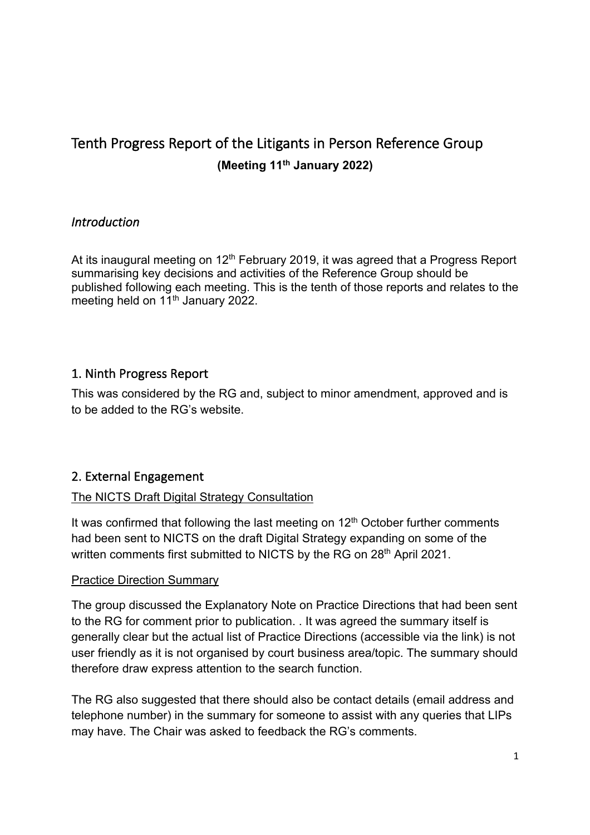# Tenth Progress Report of the Litigants in Person Reference Group  **(Meeting 11th January 2022)**

## *Introduction*

At its inaugural meeting on 12<sup>th</sup> February 2019, it was agreed that a Progress Report summarising key decisions and activities of the Reference Group should be published following each meeting. This is the tenth of those reports and relates to the meeting held on 11<sup>th</sup> January 2022.

## 1. Ninth Progress Report

 This was considered by the RG and, subject to minor amendment, approved and is to be added to the RG's website.

## 2. External Engagement

### The NICTS Draft Digital Strategy Consultation

It was confirmed that following the last meeting on  $12<sup>th</sup>$  October further comments had been sent to NICTS on the draft Digital Strategy expanding on some of the written comments first submitted to NICTS by the RG on 28<sup>th</sup> April 2021.

#### **Practice Direction Summary**

 The group discussed the Explanatory Note on Practice Directions that had been sent to the RG for comment prior to publication. . It was agreed the summary itself is generally clear but the actual list of Practice Directions (accessible via the link) is not user friendly as it is not organised by court business area/topic. The summary should therefore draw express attention to the search function.

 The RG also suggested that there should also be contact details (email address and telephone number) in the summary for someone to assist with any queries that LIPs may have. The Chair was asked to feedback the RG's comments.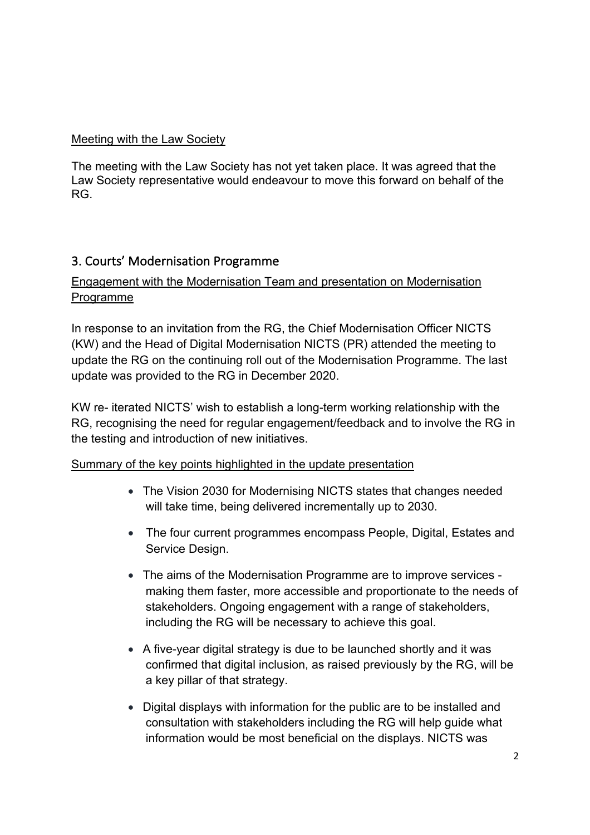#### Meeting with the Law Society

 The meeting with the Law Society has not yet taken place. It was agreed that the Law Society representative would endeavour to move this forward on behalf of the RG.

## 3. Courts' Modernisation Programme

## Engagement with the Modernisation Team and presentation on Modernisation Programme

 In response to an invitation from the RG, the Chief Modernisation Officer NICTS (KW) and the Head of Digital Modernisation NICTS (PR) attended the meeting to update the RG on the continuing roll out of the Modernisation Programme. The last update was provided to the RG in December 2020.

 KW re- iterated NICTS' wish to establish a long-term working relationship with the RG, recognising the need for regular engagement/feedback and to involve the RG in the testing and introduction of new initiatives.

### Summary of the key points highlighted in the update presentation

- • The Vision 2030 for Modernising NICTS states that changes needed will take time, being delivered incrementally up to 2030.
- • The four current programmes encompass People, Digital, Estates and Service Design.
- • The aims of the Modernisation Programme are to improve services making them faster, more accessible and proportionate to the needs of stakeholders. Ongoing engagement with a range of stakeholders, including the RG will be necessary to achieve this goal.
- • A five-year digital strategy is due to be launched shortly and it was confirmed that digital inclusion, as raised previously by the RG, will be a key pillar of that strategy.
- • Digital displays with information for the public are to be installed and consultation with stakeholders including the RG will help guide what information would be most beneficial on the displays. NICTS was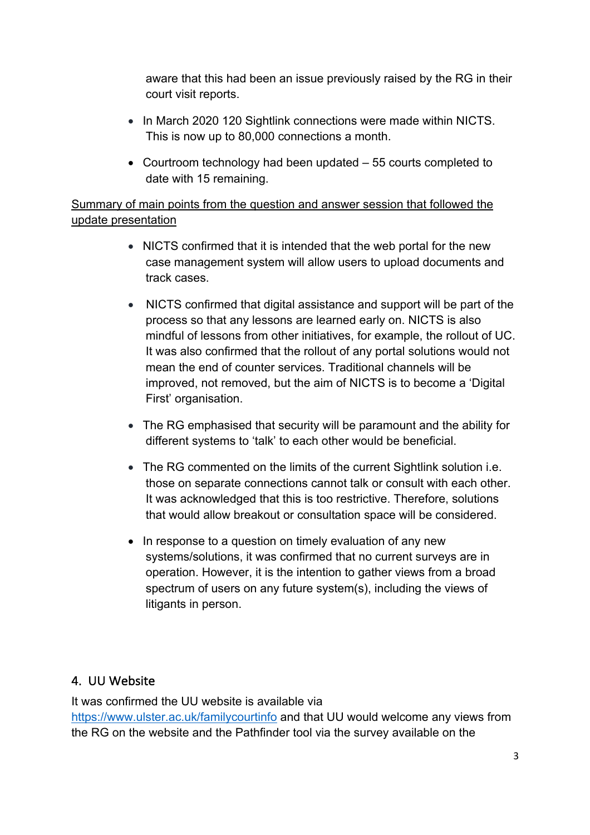aware that this had been an issue previously raised by the RG in their court visit reports.

- • In March 2020 120 Sightlink connections were made within NICTS. This is now up to 80,000 connections a month.
- • Courtroom technology had been updated 55 courts completed to date with 15 remaining.

 Summary of main points from the question and answer session that followed the update presentation

- • NICTS confirmed that it is intended that the web portal for the new case management system will allow users to upload documents and track cases.
- • NICTS confirmed that digital assistance and support will be part of the process so that any lessons are learned early on. NICTS is also mindful of lessons from other initiatives, for example, the rollout of UC. It was also confirmed that the rollout of any portal solutions would not mean the end of counter services. Traditional channels will be improved, not removed, but the aim of NICTS is to become a 'Digital First' organisation.
- • The RG emphasised that security will be paramount and the ability for different systems to 'talk' to each other would be beneficial.
- • The RG commented on the limits of the current Sightlink solution i.e. those on separate connections cannot talk or consult with each other. It was acknowledged that this is too restrictive. Therefore, solutions that would allow breakout or consultation space will be considered.
- • In response to a question on timely evaluation of any new systems/solutions, it was confirmed that no current surveys are in operation. However, it is the intention to gather views from a broad spectrum of users on any future system(s), including the views of litigants in person.

## 4. UU Website

 It was confirmed the UU website is available via <https://www.ulster.ac.uk/familycourtinfo> and that UU would welcome any views from the RG on the website and the Pathfinder tool via the survey available on the